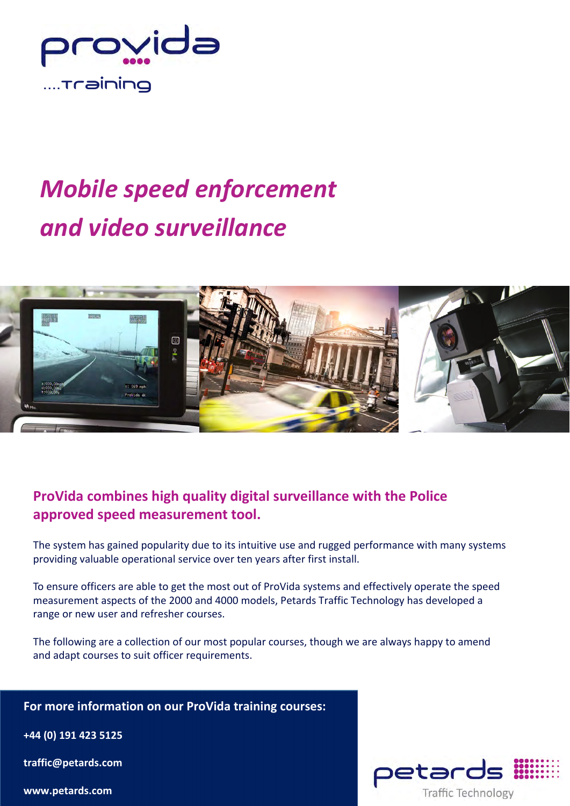

# *Mobile speed enforcement and video surveillance*



# **ProVida combines high quality digital surveillance with the Police approved speed measurement tool.**

The system has gained popularity due to its intuitive use and rugged performance with many systems providing valuable operational service over ten years after first install.

To ensure officers are able to get the most out of ProVida systems and effectively operate the speed measurement aspects of the 2000 and 4000 models, Petards Traffic Technology has developed a range or new user and refresher courses.

The following are a collection of our most popular courses, though we are always happy to amend and adapt courses to suit officer requirements.

# **For more information on our ProVida training courses:**

**+44 (0) 191 423 5125**

**traffic@petards.com**

**www.petards.com**

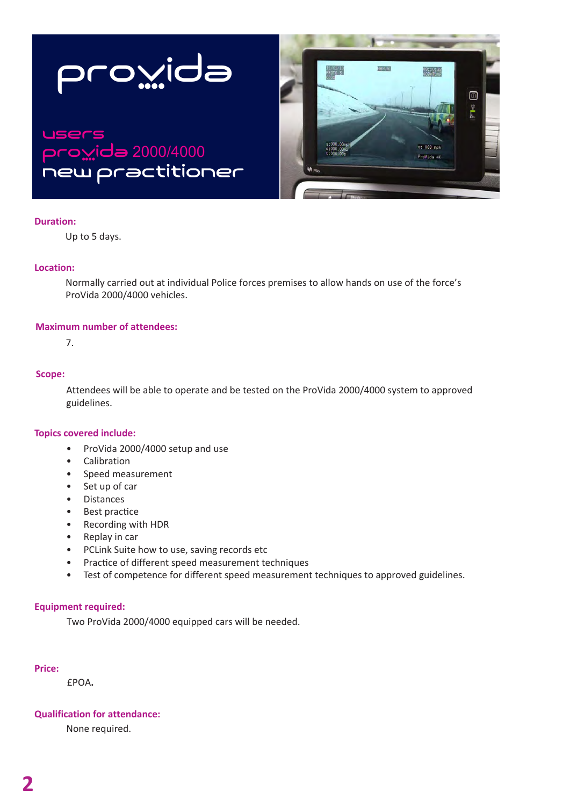



# users o<u>w</u>ida 2000/4000 new practitioner

### **Duration:**

Up to 5 days.

# **Location:**

Normally carried out at individual Police forces premises to allow hands on use of the force's ProVida 2000/4000 vehicles.

### **Maximum number of attendees:**

7.

### **Scope:**

Attendees will be able to operate and be tested on the ProVida 2000/4000 system to approved guidelines.

# **Topics covered include:**

- ProVida 2000/4000 setup and use
- Calibration
- Speed measurement
- Set up of car
- Distances
- Best practice
- Recording with HDR
- Replay in car
- PCLink Suite how to use, saving records etc
- Practice of different speed measurement techniques
- Test of competence for different speed measurement techniques to approved guidelines.

#### **Equipment required:**

Two ProVida 2000/4000 equipped cars will be needed.

### **Price:**

£POA**.**

# **Qualification for attendance:**

None required.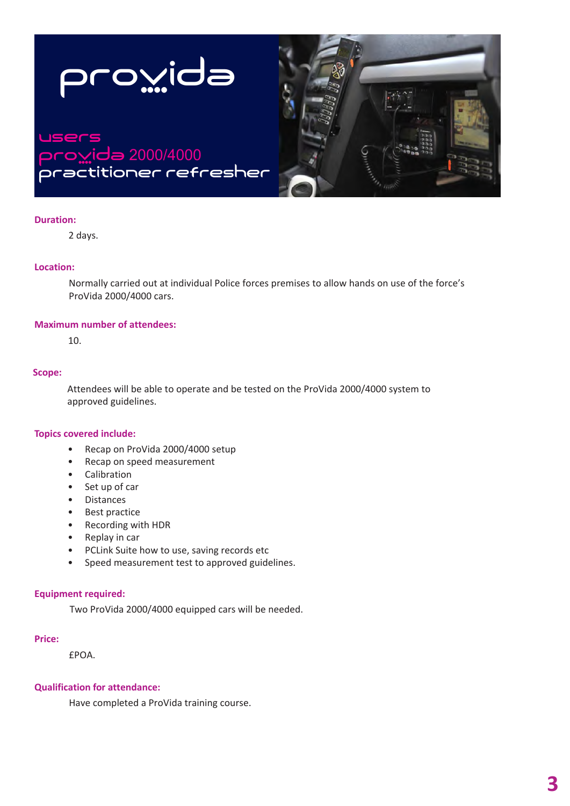

### **Duration:**

2 days.

# **Location:**

Normally carried out at individual Police forces premises to allow hands on use of the force's ProVida 2000/4000 cars.

### **Maximum number of attendees:**

10.

### **Scope:**

Attendees will be able to operate and be tested on the ProVida 2000/4000 system to approved guidelines.

# **Topics covered include:**

- Recap on ProVida 2000/4000 setup
- Recap on speed measurement
- Calibration
- Set up of car
- Distances
- Best practice
- Recording with HDR
- Replay in car
- PCLink Suite how to use, saving records etc
- Speed measurement test to approved guidelines.

#### **Equipment required:**

Two ProVida 2000/4000 equipped cars will be needed.

#### **Price:**

£POA.

# **Qualification for attendance:**

Have completed a ProVida training course.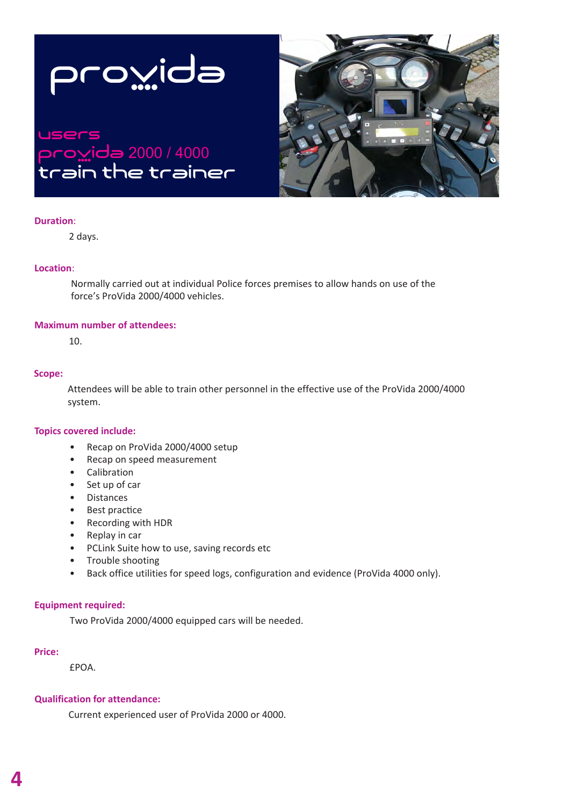



# users provida 2000 / 4000 train the trainer

### **Duration**:

2 days.

# **Location**:

Normally carried out at individual Police forces premises to allow hands on use of the force's ProVida 2000/4000 vehicles.

# **Maximum number of attendees:**

10.

### **Scope:**

Attendees will be able to train other personnel in the effective use of the ProVida 2000/4000 system.

# **Topics covered include:**

- Recap on ProVida 2000/4000 setup
- Recap on speed measurement
- Calibration
- Set up of car
- Distances
- Best practice
- Recording with HDR
- Replay in car
- PCLink Suite how to use, saving records etc
- Trouble shooting
- Back office utilities for speed logs, configuration and evidence (ProVida 4000 only).

# **Equipment required:**

Two ProVida 2000/4000 equipped cars will be needed.

#### **Price:**

£POA.

# **Qualification for attendance:**

Current experienced user of ProVida 2000 or 4000.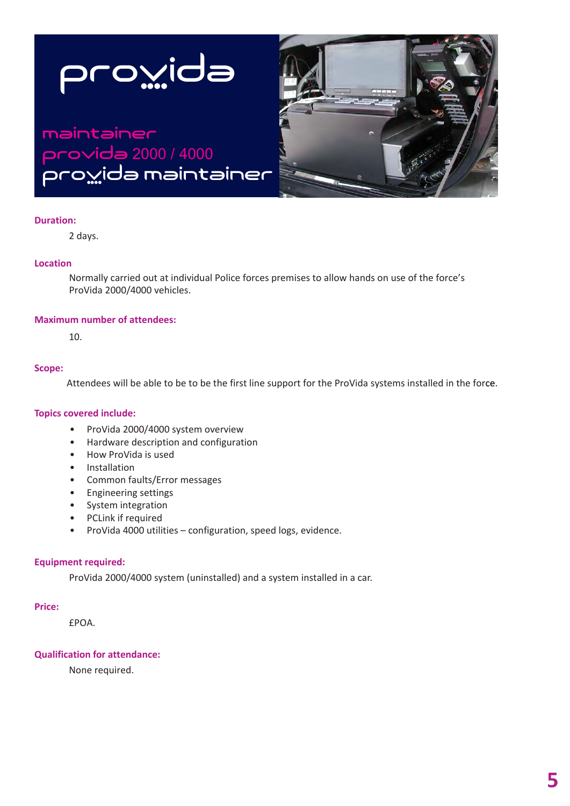

# Maintainer proVida 2000 / 4000 pro<u>v</u>ida maintainer



### **Duration:**

2 days.

### **Location**

Normally carried out at individual Police forces premises to allow hands on use of the force's ProVida 2000/4000 vehicles.

### **Maximum number of attendees:**

10.

#### **Scope:**

Attendees will be able to be to be the first line support for the ProVida systems installed in the force.

# **Topics covered include:**

- ProVida 2000/4000 system overview
- Hardware description and configuration
- How ProVida is used
- Installation
- Common faults/Error messages
- Engineering settings
- System integration
- PCLink if required
- ProVida 4000 utilities configuration, speed logs, evidence.

# **Equipment required:**

ProVida 2000/4000 system (uninstalled) and a system installed in a car.

#### **Price:**

£POA.

# **Qualification for attendance:**

None required.